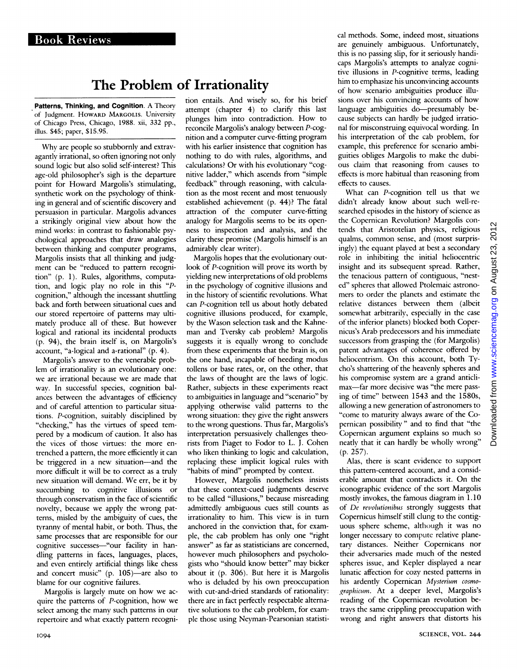## The Problem of Irrationality

Patterns, Thinking, and Cognition. A Theory of Judgment. HowARD MARGOLIS. Universitv of Chicago Press, Chicago, 1988. xii, 332 pp., illus. \$45; paper, \$15.95.

Why are people so stubbornly and extravagantly irrational, so often ignoring not only sound logic but also solid self-interest? This age-old philosopher's sigh is the departure point for Howard Margolis's stimulating, synthetic work on the psychology of thinking in general and of scientific discovery and persuasion in particular. Margolis advances <sup>a</sup> strikingly original view about how the mind works: in contrast to fashionable psychological approaches that draw analogies between thinking and computer programs, Margolis insists that all thinking and judgment can be "reduced to pattern recognition" (p. 1). Rules, algorithms, computation, and logic play no role in this "Pcognition," although the incessant shuttling back and forth between situational cues and our stored repertoire of patterns may ultimately produce all of these. But however logical and rational its incidental products (p. 94), the brain itself is, on Margolis's account, "a-logical and a-rational" (p. 4).

Margolis's answer to the venerable problem of irrationality is an evolutionary one: we are irrational because we are made that way. In successful species, cognition balances between the advantages of efficiency and of careful attention to particular situations. P-cognition, suitably disciplined by "checking," has the virtues of speed tempered by <sup>a</sup> modicum of caution. It also has the vices of those virtues: the more entrenched a pattern, the more efficiently it can be triggered in a new situation-and the more difficult it will be to correct as a truly new situation will demand. We err, be it by succumbing to cognitive illusions or through conservatism in the face of scientific novelty, because we apply the wrong patterns, misled by the ambiguity of cues, the tyranny of mental habit, or both. Thus, the same processes that are responsible for our cognitive successes-"our facility in handling patterns in faces, languages, places, and even entirely artificial things like chess and concert music" (p.  $105$ )—are also to blame for our cognitive failures.

Margolis is largely mute on how we acquire the patterns of P-cognition, how we select among the many such patterns in our repertoire and what exactly pattern recogni-

tion entails. And wisely so, for his brief attempt (chapter 4) to clarify this last plunges him into contradiction. How to reconcile Margolis's analogy between P-cognition and a computer curve-fitting program with his earlier insistence that cognition has nothing to do with rules, algorithms, and calculations? Or with his evolutionary "cognitive ladder," which ascends from "simple feedback" through reasoning, with calculation as the most recent and most tenuously established achievement (p. 44)? The fatal attraction of the computer curve-fitting analogy for Margolis seems to be its openness to inspection and analysis, and the clarity these promise (Margolis himself is an admirablv clear writer).

Margolis hopes that the evolutionary outlook of P-cognition will prove its worth by yielding new interpretations of old problems in the psychology of cognitive illusions and in the history of scientific revolutions. What can P-cognition tell us about hotly debated cognitive illusions produced, for example, by the Wason selection task and the Kahneman and Tversky cab problem? Margolis suggests it is equally wrong to conclude from these experiments that the brain is, on the one hand, incapable of heeding modus tollens or base rates, or, on the other, that the laws of thought are the laws of logic. Rather, subjects in these experiments react to ambiguities in language and "scenario" by applying otherwise valid patterns to the wrong situation: they give the right answers to the wrong questions. Thus far, Margolis's interpretation persuasively challenges theorists from Piaget to Fodor to L. J. Cohen who liken thinking to logic and calculation, replacing these implicit logical rules with "habits of mind" prompted by context.

However, Margolis nonetheless insists that these context-cued judgments deserve to be called "illusions," because misreading admittedly ambiguous cues still counts as irrationality to him. This view is in turn anchored in the conviction that, for example, the cab problem has only one "right answer" as far as statisticians are concerned, however much philosophers and psychologists who "should know better" may bicker about it (p. 306). But here it is Margolis who is deluded by his own preoccupation with cut-and-dried standards of rationality: there are in fact perfectly respectable alternative solutions to the cab problem, for example those using Neyman-Pearsonian statistical methods. Some, indeed most, situations are genuinely ambiguous. Unfortunately, this is no passing slip, for it seriously handicaps Margolis's attempts to analyze cognitive illusions in P-cognitive terms, leading him to emphasize his unconvincing accounts of how scenario ambiguities produce illusions over his convincing accounts of how language ambiguities do—presumably because subjects can hardly be judged irrational for misconstruing equivocal wording. In his interpretation of the cab problem, for example, this preference for scenario ambiguities obliges Margolis to make the dubious claim that reasoning from causes to effects is more habitual than reasoning from effects to causes.

What can P-cognition tell us that we didn't already know about such well-researched episodes in the history of science as the Copernican Revolution? Margolis contends that Aristotelian physics, religious qualms, common sense, and (most surprisingly) the equant played at best a secondarv role in inhibiting the initial heliocentric insight and its subsequent spread. Rather, the tenacious pattern of contiguous, "nested" spheres that allowed Ptolemaic astronomers to order the planets and estimate the relative distances between them (albeit somewhat arbitrarily, especially in the case of the inferior planets) blocked both Copernicus's Arab predecessors and his immediate successors from grasping the (for Margolis) patent advantages of coherence offered by heliocentrism. On this account, both Tycho's shattering of the heavenly spheres and his compromise system are a grand anticlimax-far more decisive was "the mere passing of time" between 1543 and the 1580s, allowing a new generation of astronomers to "come to maturity always aware of the Copernican possibility" and to find that "the Copernican argument explains so much so neatly that it can hardly be wholly wrong" (p. 257).

Alas, there is scant evidence to support this pattern-centered account, and <sup>a</sup> considerable amount that contradicts it. On the iconographic evidence of the sort Margolis mostly invokes, the famous diagram in 1.10 of De revolutionibus strongly suggests that Copernicus himself still clung to the contiguous sphere scheme, although it was no longer necessary to compute relative planetary distances. Neither Copernicans nor their adversaries made much of the nested spheres issue, and Kepler displayed a near lunatic affection for cozy nested patterns in his ardently Copernican Mysterium cosmographicum. At <sup>a</sup> deeper level, Margolis's reading of the Copernican revolution betrays the same crippling preoccupation with wrong and right answers that distorts his